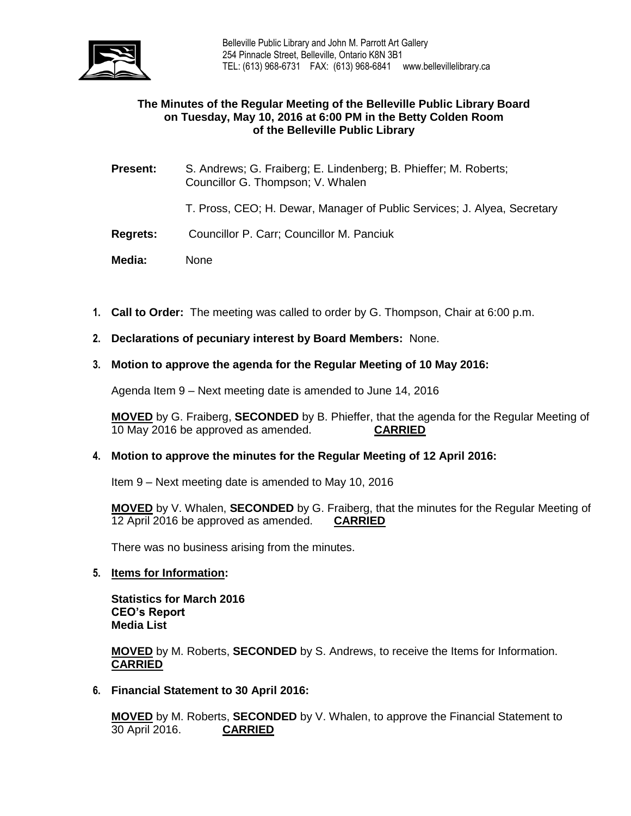

## **The Minutes of the Regular Meeting of the Belleville Public Library Board on Tuesday, May 10, 2016 at 6:00 PM in the Betty Colden Room of the Belleville Public Library**

**Present:** S. Andrews; G. Fraiberg; E. Lindenberg; B. Phieffer; M. Roberts; Councillor G. Thompson; V. Whalen

T. Pross, CEO; H. Dewar, Manager of Public Services; J. Alyea, Secretary

- **Regrets:** Councillor P. Carr; Councillor M. Panciuk
- **Media:** None
- **1. Call to Order:** The meeting was called to order by G. Thompson, Chair at 6:00 p.m.
- **2. Declarations of pecuniary interest by Board Members:** None.

## **3. Motion to approve the agenda for the Regular Meeting of 10 May 2016:**

Agenda Item 9 – Next meeting date is amended to June 14, 2016

**MOVED** by G. Fraiberg, **SECONDED** by B. Phieffer, that the agenda for the Regular Meeting of 10 May 2016 be approved as amended. **CARRIED**

## **4. Motion to approve the minutes for the Regular Meeting of 12 April 2016:**

Item 9 – Next meeting date is amended to May 10, 2016

**MOVED** by V. Whalen, **SECONDED** by G. Fraiberg, that the minutes for the Regular Meeting of 12 April 2016 be approved as amended. **CARRIED**

There was no business arising from the minutes.

#### **5. Items for Information:**

**Statistics for March 2016 CEO's Report Media List**

**MOVED** by M. Roberts, **SECONDED** by S. Andrews, to receive the Items for Information. **CARRIED**

**6. Financial Statement to 30 April 2016:**

**MOVED** by M. Roberts, **SECONDED** by V. Whalen, to approve the Financial Statement to 30 April 2016. **CARRIED**